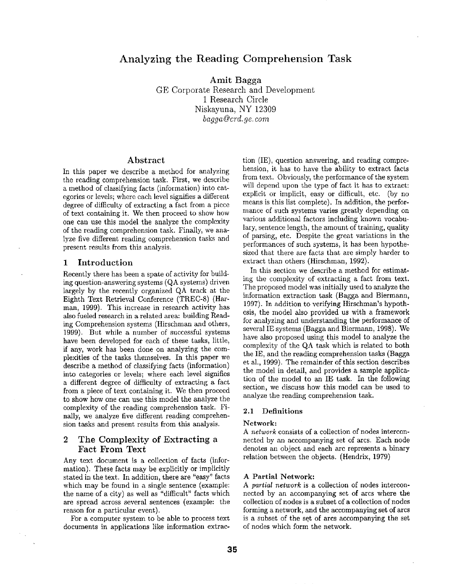# **Analyzing the Reading Comprehension Task**

Amit Bagga GE Corporate Research and Development 1 Research Circle Niskayuna, NY 12309 *bagga@crd.ge, corn* 

### Abstract

In this paper we describe a method for analyzing the reading comprehension task. First, we describe a method of classifying facts (information) into categories or levels; where each level signifies a different degree of difficulty of extracting a fact from a piece of text containing it. We then proceed to show how one can use this model the analyze the complexity of the reading comprehension task. Finally, we analyze five different reading comprehension tasks and present results from this analysis.

### 1 Introduction

Recently there has been a spate of activity for building question-answering systems (QA systems) driven largely by the recently organized QA track at the Eighth Text Retrieval Conference (TREC-8) (Harman, 1999). This increase in research activity has also fueled research in a related area: building Reading Comprehension systems (Hirschman and others, 1999). But while a number of successful systems have been developed for each of these tasks, little, if any, work has been done on analyzing the complexities of the tasks themselves. In this paper we describe a method of classifying facts (information) into categories or levels; where each level signifies a different degree of difficulty of extracting a fact from a piece of text containing it. We then proceed to show how one can use this model the analyze the complexity of the reading comprehension task. Finally, we analyze five different reading comprehension tasks and present results from this analysis.

## 2 The Complexity of Extracting a Fact From Text

Any text document is a collection of facts (information). These facts may be explicitly or implicitly stated in the text. In addition, there are "easy" facts which may be found in a single sentence (example: the name of a city) as well as "difficult" facts which are spread across several sentences (example: the reason for a particular event).

For a computer system to be able to process text documents in applications like information extrac-

tion (IE), question answering, and reading comprehension, it has to have the ability to extract facts from text. Obviously, the performance of the system will depend upon the type of fact it has to extract: explicit or implicit, easy or difficult, etc. (by no means is this list complete). In addition, the performance of such systems varies greatly depending on various additional factors including known vocabulary, sentence length, the amount of training, quality of parsing, etc. Despite the great variations in the performances of such systems, it has been hypothesized that there are facts that are simply harder to extract than others (Hirschman, 1992).

In this section we describe a method for estimating the complexity of extracting a fact from text. The proposed model was initially used to analyze the information extraction task (Bagga and Biermann, 1997). In addition to verifying Hirschman's hypothesis, the model also provided us with a framework for analyzing and understanding the performance of several IE systems (Bagga and Biermann, 1998). We have also proposed using this model to analyze the complexity of the QA task Which is related to both the IE, and the reading comprehension tasks (Bagga et al., 1999). The remainder of this section describes the model in detail, and provides a sample application of the model to an IE task. In the following section, we discuss how this model can be used to analyze the reading comprehension task.

### **2.1 Definitions**

### **Network:**

*A network* consists of a collection of nodes interconnected by an accompanying set of arcs. Each node denotes an object and each arc represents a binary relation between the objects. (Hendrix, 1979)

### **A Partial Network:**

*A partial network* is a collection of nodes interconnected by an accompanying set of arcs where the collection of nodes is a subset of a collection of nodes forming a network, and the accompanying set of arcs is a subset of the set of arcs accompanying the set of nodes which form the network.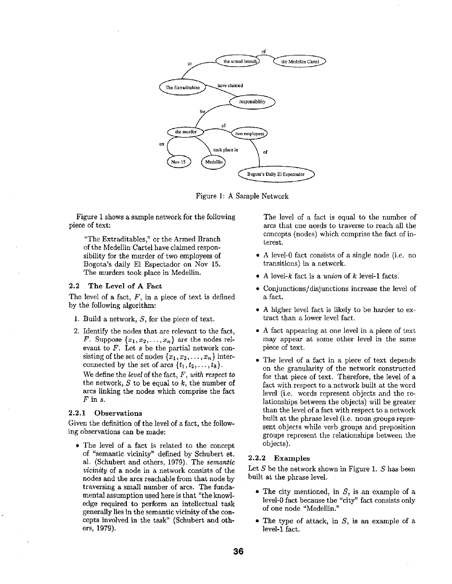

Figure 1: A Sample Network

Figure 1 shows a sample network for the following piece of text:

"The Extraditables," or the Armed Branch of the Medellin Cartel have claimed responsibility for the murder of two employees of Bogota's daily E1 Espectador on Nov 15. The murders took place in Medellin.

### 2.2 The Level of A Fact

The level of a fact,  $F$ , in a piece of text is defined by the following algorithm:

- 1. Build a network,  $S$ , for the piece of text.
- 2. Identify the nodes that are relevant to the fact, F. Suppose  $\{x_1, x_2, \ldots, x_n\}$  are the nodes relevant to F. Let s be the partial network consisting of the set of nodes  $\{x_1, x_2, \ldots, x_n\}$  interconnected by the set of arcs  $\{t_1, t_2, \ldots, t_k\}.$ We define the *level of the* fact, *F, with respect to*  the network,  $S$  to be equal to  $k$ , the number of arcs linking the nodes which comprise the fact *Fins.*

## 2.2.1 Observations

Given the definition of the level of a fact, the following observations can be made:

• The level of a fact is related to the concept of "semantic vicinity" defined by Schubert et. al. (Schubert and others, 1979). The *semantic vicinity* of a node in a network consists of the nodes and the arcs reachable from that node by traversing a small number of arcs. The fundamental assumption used here is that "the knowledge required to perform an intellectual task generally lies in the semantic vicinity of the concepts involved in the task" (Schubert and others, 1979).

The level of a fact is equal to the number of arcs that one needs to traverse to reach all the concepts (nodes) which comprise the fact of interest.

- A level-0 fact consists of a single node (i.e. no transitions) in a network.
- A level-k fact is a *union* of k level-1 facts:
- Conjunctions/disjunctions increase the level of a fact.
- A higher level fact is likely to be harder to extract than a lower level fact.
- A fact appearing at one level in a piece of text may appear at some other level in the same piece of text.
- The level of a fact in a piece of text depends on the granularity of the network constructed for that piece of text. Therefore, the level of a fact with respect to a network built at the word level (i.e. words represent objects and the relationships between the objects) will be greater than the level of a fact with respect to a network built at the phrase level (i.e. noun groups represent objects while verb groups and preposition groups represent the relationships between the objects).

## 2.2.2 Examples

Let  $S$  be the network shown in Figure 1.  $S$  has been built at the phrase level.

- The city mentioned, in *S,* is an example of a level-0 fact because the "city" fact consists only of one node "Medellin."
- The type of attack, in  $S$ , is an example of a level-1 fact.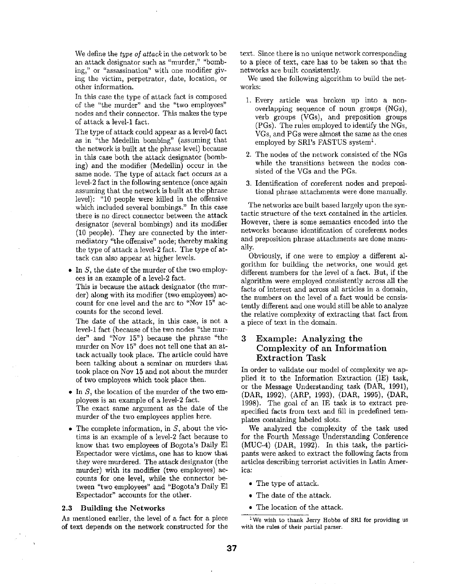We define the *type of attack* in the network to be an attack designator such as "murder," "bombing," or "assassination" with one modifier giving the victim, perpetrator, date, location, or other information.

In this case the type of attack fact is composed of the "the murder" and the "two employees" nodes and their connector. This makes the type of attack a level-1 fact.

The type of attack could appear as a level-0 fact as in "the Medellin bombing" (assuming that the network is built at the phrase level) because in this case both the attack designator (bombing) and the modifier (Medellin) occur in the same node. The type of attack fact occurs as a level-2 fact in the following sentence (once again assuming that the network is built at the phrase level): "10 people were killed in the offensive which included several bombings." In this case there is no direct connector between the attack designator (several bombings) and its modifier (10 people). They are connected by the intermediatory "the offensive" node; thereby making the type of attack a level-2 fact. The type of attack can also appear at higher levels.

• In  $S$ , the date of the murder of the two employees is an example of a level-2 fact.

This is because the attack designator (the murder) along with its modifier (two employees) account for one level and the arc to "Nov 15" accounts for the second level.

The date of the attack, in this case, is not a level-1 fact (because of the two nodes "the murder" and "Nov 15") because the phrase "the murder on Nov 15" does not tell one that an attack actually took place. The article could have been talking about a seminar on murders that took place on Nov 15 and not about the murder of two employees which took place then.

- In  $S$ , the location of the murder of the two employees is an example of a level-2 fact. The exact same argument as the date of the murder of the two employees applies here.
- The complete information, in  $S$ , about the victims is an example of a level-2 fact because to know that two employees of Bogota's Daily E1 Espectador were victims, one has to know that they were murdered. The attack designator (the murder) with its modifier (two employees) accounts for one level, while the connector between "two employees" and "Bogota's Daily E1 Espectador" accounts for the other.

#### **2.3 Building the Networks**

As mentioned earlier, the level of a fact for a piece of text depends on **the network** constructed for **the**  text. Since there is no unique network corresponding to a piece of text, care has to be taken so that the networks are built consistently.

We used the following algorithm to build the networks:

- 1. Every article was broken up into a nonoverlapping sequence of noun groups (NGs), verb groups (VGs), and preposition groups (PGs). The rules employed to identify the NGs, VGs, and PGs were almost the same as the ones employed by SRI's FASTUS system<sup>1</sup>.
- 2. The nodes of the network consisted of the NGs while the transitions between the nodes consisted of the VGs and the PGs.
- 3. Identification of coreferent nodes and prepositional phrase attachments were done manually.

The networks are built based largely upon the syntactic structure of the text contained in the articles. However, there is some semantics encoded into the networks because identification of coreferent nodes and preposition phrase attachments are done manually.

Obviously, if one were to employ a different algorithm for building the networks, one would get different numbers for the level of a fact. But, if the algorithm were employed consistently across all the facts of interest and across all articles in a domain, the numbers on the level of a fact would be consistently different and one would still be able to analyze the relative complexity of extracting that fact from a piece of text in the domain.

## **3** Example: Analyzing **the Complexity of an Information Extraction** Task

In order to validate our model of complexity we applied it to the Information Extraction (IE) task, or the Message Understanding task (DAR, 1991), (DAR, 1992), (ARP, 1993), (DAR, 1995), (DAR, 1998). The goal of an IE task is to extract prespecified facts from text and fill in predefined templates containing labeled slots.

We analyzed the complexity of the task used for the Fourth Message Understanding Conference (MUC-4) (DAR, 1992). In this task, the participants were asked to extract the following facts from articles describing terrorist activities in Latin America:

- The type of attack.
- The date of the attack.
- The location of the attack.

<sup>1</sup>We wish to thank Jerry Hobbs of SRI **for providing** us **with the** rules of **their partial** parser.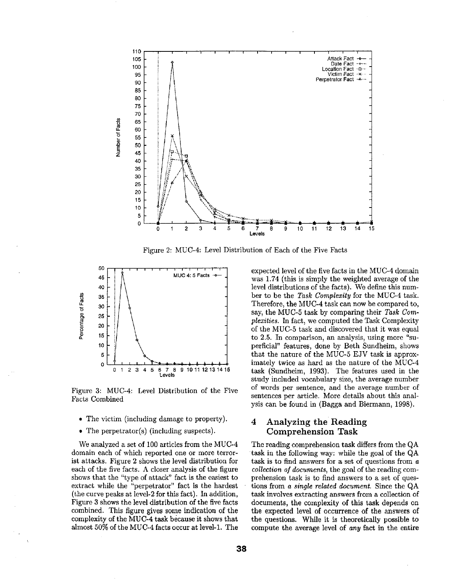

Figure 2: MUC-4: Level Distribution of Each of the Five Facts



Figure 3: MUC-4: Level Distribution of the Five Facts Combined

- The victim (including damage to property).
- The perpetrator(s) (including suspects).

We analyzed a set of 100 articles from the MUC-4 domain each of which reported one or more terrorist attacks. Figure 2 shows the level distribution for each of the five facts. A closer analysis of the figure shows that the "type of attack" fact is the easiest to extract while the "perpetrator" fact is the hardest (the curve peaks at level-2 for this fact). In addition, Figure 3 shows the level distribution of the five facts combined. This figure gives some indication of the complexity of the MUC-4 task because it shows that almost 50% of the MUC-4 facts occur at level-1. The

expected level of the five facts in the MUC-4 domain was 1.74 (this is simply the weighted average of the level distributions of the facts). We define this number to be the *Task Complexity* for the MUC-4 task. Therefore, the MUC-4 task can now be compared to, say, the MUC-5 task by comparing their *Task Complexities.* In fact, we computed the Task Complexity of the MUC-5 task and discovered that it was equal to 2.5. In comparison, an analysis, using more "superficial" features, done by Beth Sundheim, shows that the nature of the MUC-5 EJV task is approximately twice as hard as the nature of the MUC-4 task (Sundheim, 1993). The features used in the study included vocabulary size, the average number of words per sentence, and the average number of sentences per article. More details about this analysis can be found in (Bagga and Biermann, 1998).

## **<sup>4</sup>**Analyzing the Reading Comprehension **Task**

The reading comprehension task differs from the QA task in the following way: while the goal of the QA task is to find answers for a set of questions from a *collection of documents,* the goal of the reading comprehension task is to find answers to a set of questions from *a single related document.* Since the QA task involves extracting answers from a collection of documents, the complexity of this task depends on the expected level of occurrence of the answers of the questions. While it is theoretically possible to compute the average level of *any* fact in the entire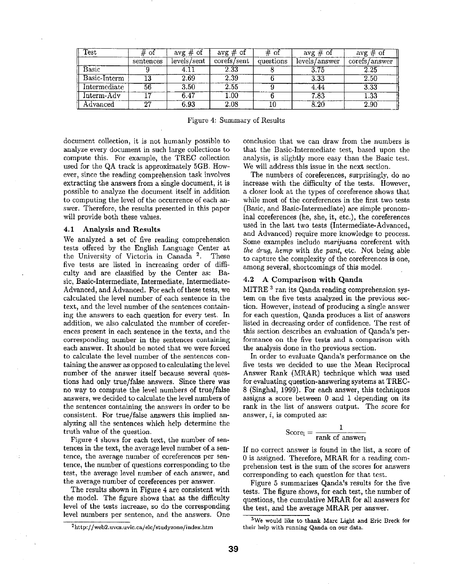| $\operatorname{Test}$ | # of      | $\overline{avg \#}$ of | $avg \# of$ | # of      | $avg \# of$   | $avg \# of$       |
|-----------------------|-----------|------------------------|-------------|-----------|---------------|-------------------|
|                       | sentences | levels/sent            | corefs/sent | questions | levels/answer | corefs/answer     |
| Basic                 |           | 4.11                   | 2.33        |           | 3.75          | 2.25              |
| Basic-Interm          | 13        | 2.69                   | 2.39        |           | 3.33          | 2.50              |
| Intermediate          | 56        | $\overline{3.50}$      | 2.55        |           | 4.44          | $3.\overline{33}$ |
| Interm-Adv            |           | $6.47\,$               | $1.00\,$    |           | 7.83          | $1.33\,$          |
| Advanced              | 27        | 6.93                   | 2.08        |           | 8.20          | 2.90              |

Figure 4: Summary of Results

document collection, it is not humanly possible to analyze every document in such large collections to compute this. For example, the TREC collection used for the QA track is approximately 5GB. However, since the reading comprehension task involves extracting the answers from a single document, it is possible to analyze the document itself in addition to computing the level of the occurrence of each answer. Therefore, the results presented in this paper will provide both these values.

### **4.1 Analysis and Results**

We analyzed a set of five reading comprehension tests offered by the English Language Center at the University of Victoria in Canada 2. These five tests are listed in increasing order of difficulty and are classified by the Center as: Basic, Basic-Intermediate, Intermediate, Intermediate-Advanced, and Advanced. For each of these tests, we calculated the level number of each sentence in the text, and the level number of the sentences containing the answers to each question for every test. In addition, we also calculated the number of coreferences present in each sentence in the texts, and the corresponding number in the sentences containing each answer. It should be noted that we were forced to calculate the level number of the sentences containing the answer as opposed to calculating the level number of the answer itself because several questions had only true/false answers. Since there was no way to compute the level numbers of true/false answers, we decided to calculate the level numbers of the sentences containing the answers in order to be consistent. For true/false answers this implied analyzing all the sentences which help determine the truth value of the question.

Figure 4 shows for each text, the number of sentences in the text, the average level number of a sentence, the average number of coreferences per sentence, the number of questions corresponding to the test, the average level number of each answer, and the average number of coreferences per answer.

The results shown in Figure 4 are consistent with the model. The figure shows that as the difficulty level of the tests increase, so do the corresponding level numbers per sentence, and the answers. One conclusion that we can draw from the numbers is that the Basic-Intermediate test, based upon the analysis, is slightly more easy than the Basic test. We will address this issue in the next section.

The numbers of coreferences, surprisingly, do no increase with the difficulty of the tests. However, a closer look at the types of coreference shows that while most of the coreferences in the first two tests (Basic, and Basic-Intermediate) are simple pronominal coreferences (he, she, it, etc.), the coreferences used in the last two tests (Intermediate-Advanced, and Advanced) require more knowledge to process. Some examples include *marijuana* coreferent with *the drug, hemp* with *the pant,* etc. Not being able to capture the complexity of the coreferences is one, among several, shortcomings of this model.

## **4.2 A Comparison with Qanda**

MITRE<sup>3</sup> ran its Qanda reading comprehension system on the five tests analyzed in the previous section. However, instead of producing a single answer for each question, Qanda produces a list of answers listed in decreasing order of confidence. The rest of this section describes an evaluation of Qanda's performance on the five tests and a comparison with the analysis done in the previous section.

In order to evaluate Qanda's performance on the five tests we decided to use the Mean Reciprocal Answer Rank (MRAR) technique which was used for evaluating question-answering systems at TREC-8 (Singhal, 1999). For each answer, this techniques assigns a score between 0 and 1 depending on its rank in the list of answers output. The score for answer, i, is computed as:

$$
Score_i = \frac{1}{rank of answer_i}
$$

If no correct answer is found in the list, a score of 0 is assigned. Therefore, MRAR for a reading comprehension test is the sum of the scores for answers corresponding to each question for that test.

Figure 5 summarizes Qanda's results for the five tests. The figure shows, for each test, the number of questions, the cumulative MRAR for all answers for the test, and the average MRAR per answer.

<sup>2</sup> http://web2.uvcs.uvic.ca/elc/studyzone/index.htm

<sup>3</sup>We would like **to thank** Marc Light and Eric Breck **for**  their help with running **Qanda on our** data.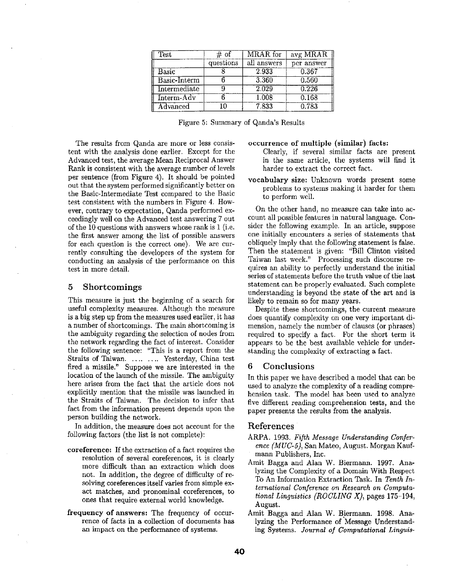| Test           | # of      | MRAR for    | avg MRAR   |
|----------------|-----------|-------------|------------|
|                | questions | all answers | per answer |
| Basic          |           | 2.933       | 0.367      |
| Basic-Interm   |           | 3.360       | 0.560      |
| Intermediate   |           | 2.029       | 0.226      |
| Interm-Adv     |           | 1.008       | 0.168      |
| $\rm Advanced$ | l N       | 7.833       | 0.783      |

|  |  |  | Figure 5: Summary of Qanda's Results |  |
|--|--|--|--------------------------------------|--|
|--|--|--|--------------------------------------|--|

The results from Qanda are more or less consistent with the analysis done earlier. Except for the Advanced test, the average Mean Reciprocal Answer Rank is consistent with the average number of levels per sentence (from Figure 4). It should be pointed out that the system performed significantly better on the Basic-Intermediate Test compared to the Basic test consistent with the numbers in Figure 4. However, contrary to expectation, Qanda performed exceedingly well on the Advanced test answering 7 out of the 10 questions with answers whose rank is 1 (i.e. the first answer among the list of possible answers for each question is the correct one). We are currently consulting the developers of the system for conducting an analysis of the performance on this test in more detail.

### **5 Shortcomings**

This measure is just the beginning of a search for useful complexity measures. Although the measure is a big step up from the measures used earlier, it has a number of shortcomings. The main shortcoming is the ambiguity regarding the selection of nodes from the network regarding the fact of interest. Consider the following sentence: "This is a report from the Straits of Taiwan. .... .... Yesterday, China test fired a missile." Suppose we are interested in the location of the launch of the missile. The ambiguity here arises from the fact that the article does not explicitly mention that the missile was launched in the Straits of Taiwan. The decision to infer that fact from the information present depends upon the person building the network.

In addition, the measure does not account for the following factors (the list is not complete):

- coreference: If the extraction of a fact requires the resolution of several coreferences, it is clearly more difficult than an extraction which does not. In addition, the degree of difficulty of resolving coreferences itself varies from simple exact matches, and pronominal coreferences, to ones that require external world knowledge.
- frequency of answers: The frequency of occurrence of facts in a collection of documents has an impact on the performance of systems.

### **occurrence** of multiple **(similar) facts:**

Clearly, if several similar facts are present in the same article, the systems will find it harder to extract the correct fact.

vocabulary size: Unknown words present some problems to systems making it harder for them to perform well.

On the other hand, no measure can take into account all possible features in natural language. Consider the following example. In an article, suppose one initially encounters a series of statements that obliquely imply that the following statement is false. Then the statement is given: "Bill Clinton visited Taiwan last week." Processing such discourse requires an ability to perfectly understand the initial series of statements before the truth value of the last statement can be properly evaluated. Such complete understanding is beyond the state of the art and **is**  likely to remain so for many years.

Despite these shortcomings, the current measure does quantify complexity on one very important dimension, namely the number of clauses (or phrases) required to specify a fact. For the short term it appears to be the best available vehicle for understanding the complexity of extracting a fact.

## **6 Conclusions**

In this paper we have described a model that can be used to analyze the complexity of a reading comprehension task. The model has been used to analyze five different reading comprehension tests, and the paper presents the results from the analysis.

## References

- ARPA. 1993. *Fifth Message Understanding Conference (MUC-5);* San Mateo, August. Morgan Kaufmann Publishers, Inc.
- Amit Bagga and Alan W. Biermann. 1997. Analyzing the Complexity of a Domain With Respect To An Information Extraction Task. In *Tenth International Conference on Research on Computational Linguistics (ROCLING X),* pages 175-194, August.
- Amit Bagga and Alan W. Biermann. 1998. Analyzing the Performance of Message Understanding Systems. *Journal of Computational Linguis-*